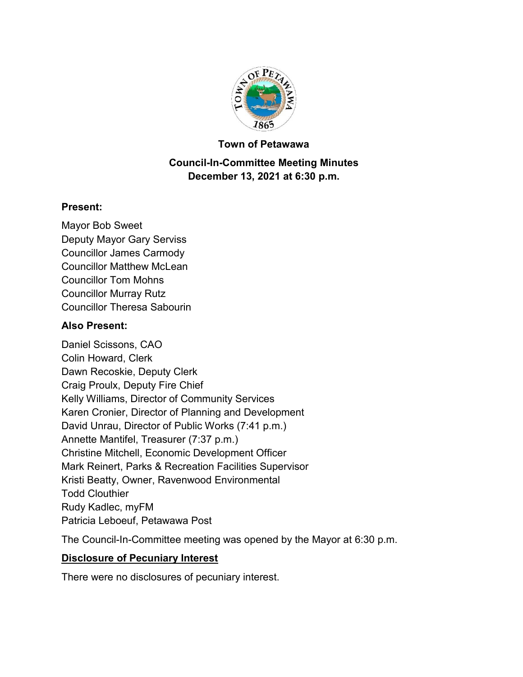

#### **Town of Petawawa**

### **Council-In-Committee Meeting Minutes December 13, 2021 at 6:30 p.m.**

#### **Present:**

Mayor Bob Sweet Deputy Mayor Gary Serviss Councillor James Carmody Councillor Matthew McLean Councillor Tom Mohns Councillor Murray Rutz Councillor Theresa Sabourin

#### **Also Present:**

Daniel Scissons, CAO Colin Howard, Clerk Dawn Recoskie, Deputy Clerk Craig Proulx, Deputy Fire Chief Kelly Williams, Director of Community Services Karen Cronier, Director of Planning and Development David Unrau, Director of Public Works (7:41 p.m.) Annette Mantifel, Treasurer (7:37 p.m.) Christine Mitchell, Economic Development Officer Mark Reinert, Parks & Recreation Facilities Supervisor Kristi Beatty, Owner, Ravenwood Environmental Todd Clouthier Rudy Kadlec, myFM Patricia Leboeuf, Petawawa Post

The Council-In-Committee meeting was opened by the Mayor at 6:30 p.m.

### **Disclosure of Pecuniary Interest**

There were no disclosures of pecuniary interest.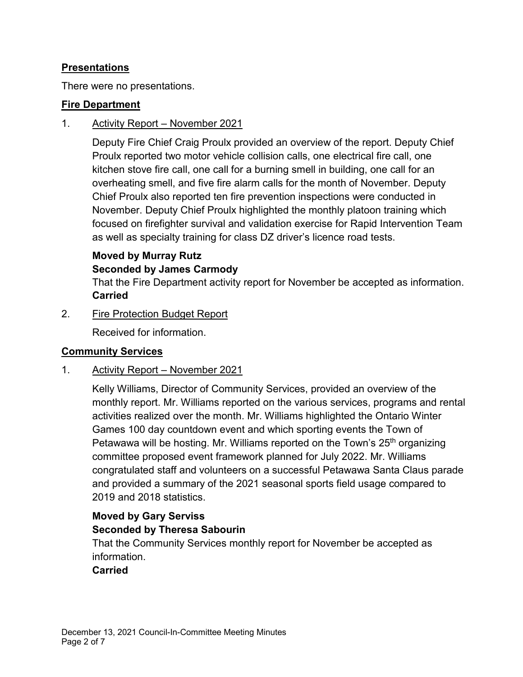### **Presentations**

There were no presentations.

### **Fire Department**

#### 1. Activity Report – November 2021

Deputy Fire Chief Craig Proulx provided an overview of the report. Deputy Chief Proulx reported two motor vehicle collision calls, one electrical fire call, one kitchen stove fire call, one call for a burning smell in building, one call for an overheating smell, and five fire alarm calls for the month of November. Deputy Chief Proulx also reported ten fire prevention inspections were conducted in November. Deputy Chief Proulx highlighted the monthly platoon training which focused on firefighter survival and validation exercise for Rapid Intervention Team as well as specialty training for class DZ driver's licence road tests.

### **Moved by Murray Rutz Seconded by James Carmody**

That the Fire Department activity report for November be accepted as information. **Carried**

2. Fire Protection Budget Report

Received for information.

### **Community Services**

### 1. Activity Report – November 2021

Kelly Williams, Director of Community Services, provided an overview of the monthly report. Mr. Williams reported on the various services, programs and rental activities realized over the month. Mr. Williams highlighted the Ontario Winter Games 100 day countdown event and which sporting events the Town of Petawawa will be hosting. Mr. Williams reported on the Town's 25<sup>th</sup> organizing committee proposed event framework planned for July 2022. Mr. Williams congratulated staff and volunteers on a successful Petawawa Santa Claus parade and provided a summary of the 2021 seasonal sports field usage compared to 2019 and 2018 statistics.

# **Moved by Gary Serviss**

### **Seconded by Theresa Sabourin**

That the Community Services monthly report for November be accepted as information.

### **Carried**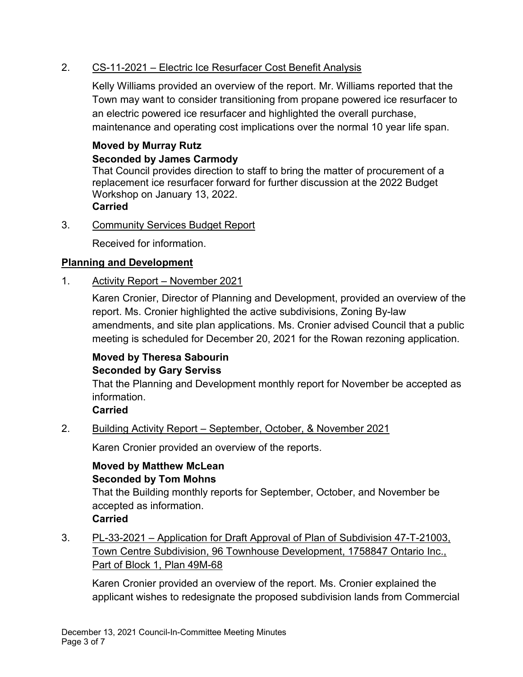### 2. CS-11-2021 – Electric Ice Resurfacer Cost Benefit Analysis

Kelly Williams provided an overview of the report. Mr. Williams reported that the Town may want to consider transitioning from propane powered ice resurfacer to an electric powered ice resurfacer and highlighted the overall purchase, maintenance and operating cost implications over the normal 10 year life span.

#### **Moved by Murray Rutz Seconded by James Carmody**

That Council provides direction to staff to bring the matter of procurement of a replacement ice resurfacer forward for further discussion at the 2022 Budget Workshop on January 13, 2022.

**Carried**

3. Community Services Budget Report

Received for information.

### **Planning and Development**

1. Activity Report – November 2021

Karen Cronier, Director of Planning and Development, provided an overview of the report. Ms. Cronier highlighted the active subdivisions, Zoning By-law amendments, and site plan applications. Ms. Cronier advised Council that a public meeting is scheduled for December 20, 2021 for the Rowan rezoning application.

# **Moved by Theresa Sabourin Seconded by Gary Serviss**

That the Planning and Development monthly report for November be accepted as information.

### **Carried**

2. Building Activity Report – September, October, & November 2021

Karen Cronier provided an overview of the reports.

### **Moved by Matthew McLean Seconded by Tom Mohns**

That the Building monthly reports for September, October, and November be accepted as information.

### **Carried**

3. PL-33-2021 – Application for Draft Approval of Plan of Subdivision 47-T-21003, Town Centre Subdivision, 96 Townhouse Development, 1758847 Ontario Inc., Part of Block 1, Plan 49M-68

Karen Cronier provided an overview of the report. Ms. Cronier explained the applicant wishes to redesignate the proposed subdivision lands from Commercial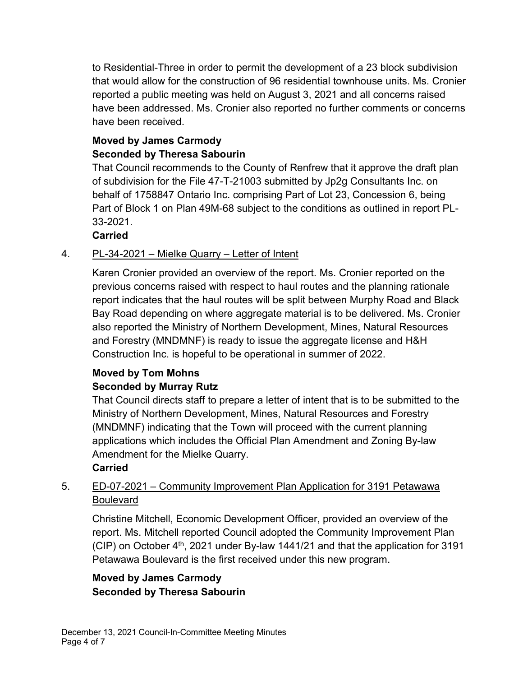to Residential-Three in order to permit the development of a 23 block subdivision that would allow for the construction of 96 residential townhouse units. Ms. Cronier reported a public meeting was held on August 3, 2021 and all concerns raised have been addressed. Ms. Cronier also reported no further comments or concerns have been received.

### **Moved by James Carmody Seconded by Theresa Sabourin**

That Council recommends to the County of Renfrew that it approve the draft plan of subdivision for the File 47-T-21003 submitted by Jp2g Consultants Inc. on behalf of 1758847 Ontario Inc. comprising Part of Lot 23, Concession 6, being Part of Block 1 on Plan 49M-68 subject to the conditions as outlined in report PL-33-2021.

**Carried**

# 4. PL-34-2021 – Mielke Quarry – Letter of Intent

Karen Cronier provided an overview of the report. Ms. Cronier reported on the previous concerns raised with respect to haul routes and the planning rationale report indicates that the haul routes will be split between Murphy Road and Black Bay Road depending on where aggregate material is to be delivered. Ms. Cronier also reported the Ministry of Northern Development, Mines, Natural Resources and Forestry (MNDMNF) is ready to issue the aggregate license and H&H Construction Inc. is hopeful to be operational in summer of 2022.

### **Moved by Tom Mohns Seconded by Murray Rutz**

That Council directs staff to prepare a letter of intent that is to be submitted to the Ministry of Northern Development, Mines, Natural Resources and Forestry (MNDMNF) indicating that the Town will proceed with the current planning applications which includes the Official Plan Amendment and Zoning By-law Amendment for the Mielke Quarry.

# **Carried**

# 5. ED-07-2021 – Community Improvement Plan Application for 3191 Petawawa Boulevard

Christine Mitchell, Economic Development Officer, provided an overview of the report. Ms. Mitchell reported Council adopted the Community Improvement Plan (CIP) on October  $4<sup>th</sup>$ , 2021 under By-law 1441/21 and that the application for 3191 Petawawa Boulevard is the first received under this new program.

# **Moved by James Carmody Seconded by Theresa Sabourin**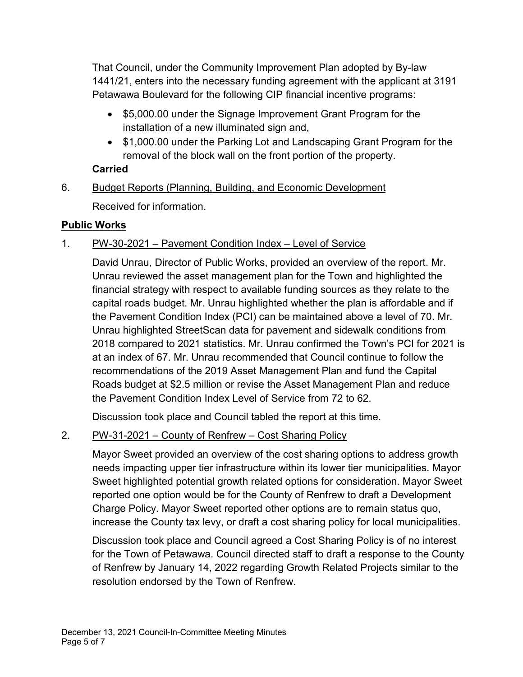That Council, under the Community Improvement Plan adopted by By-law 1441/21, enters into the necessary funding agreement with the applicant at 3191 Petawawa Boulevard for the following CIP financial incentive programs:

- · \$5,000.00 under the Signage Improvement Grant Program for the installation of a new illuminated sign and,
- \$1,000.00 under the Parking Lot and Landscaping Grant Program for the removal of the block wall on the front portion of the property.

# **Carried**

6. Budget Reports (Planning, Building, and Economic Development Received for information.

# **Public Works**

# 1. PW-30-2021 – Pavement Condition Index – Level of Service

David Unrau, Director of Public Works, provided an overview of the report. Mr. Unrau reviewed the asset management plan for the Town and highlighted the financial strategy with respect to available funding sources as they relate to the capital roads budget. Mr. Unrau highlighted whether the plan is affordable and if the Pavement Condition Index (PCI) can be maintained above a level of 70. Mr. Unrau highlighted StreetScan data for pavement and sidewalk conditions from 2018 compared to 2021 statistics. Mr. Unrau confirmed the Town's PCI for 2021 is at an index of 67. Mr. Unrau recommended that Council continue to follow the recommendations of the 2019 Asset Management Plan and fund the Capital Roads budget at \$2.5 million or revise the Asset Management Plan and reduce the Pavement Condition Index Level of Service from 72 to 62.

Discussion took place and Council tabled the report at this time.

# 2. PW-31-2021 – County of Renfrew – Cost Sharing Policy

Mayor Sweet provided an overview of the cost sharing options to address growth needs impacting upper tier infrastructure within its lower tier municipalities. Mayor Sweet highlighted potential growth related options for consideration. Mayor Sweet reported one option would be for the County of Renfrew to draft a Development Charge Policy. Mayor Sweet reported other options are to remain status quo, increase the County tax levy, or draft a cost sharing policy for local municipalities.

Discussion took place and Council agreed a Cost Sharing Policy is of no interest for the Town of Petawawa. Council directed staff to draft a response to the County of Renfrew by January 14, 2022 regarding Growth Related Projects similar to the resolution endorsed by the Town of Renfrew.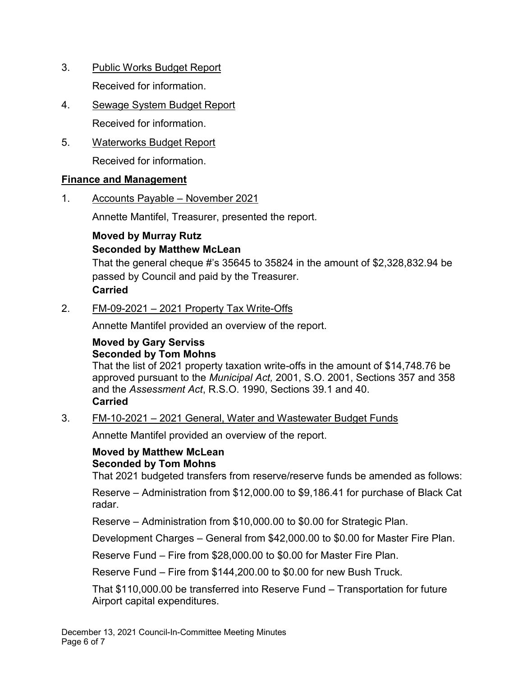- 3. Public Works Budget Report Received for information.
- 4. Sewage System Budget Report Received for information.
- 5. Waterworks Budget Report

Received for information.

### **Finance and Management**

1. Accounts Payable – November 2021

Annette Mantifel, Treasurer, presented the report.

### **Moved by Murray Rutz Seconded by Matthew McLean**

That the general cheque #'s 35645 to 35824 in the amount of \$2,328,832.94 be passed by Council and paid by the Treasurer. **Carried**

### 2. FM-09-2021 – 2021 Property Tax Write-Offs

Annette Mantifel provided an overview of the report.

### **Moved by Gary Serviss Seconded by Tom Mohns**

That the list of 2021 property taxation write-offs in the amount of \$14,748.76 be approved pursuant to the *Municipal Act,* 2001, S.O. 2001, Sections 357 and 358 and the *Assessment Act*, R.S.O. 1990, Sections 39.1 and 40. **Carried**

### 3. FM-10-2021 – 2021 General, Water and Wastewater Budget Funds

Annette Mantifel provided an overview of the report.

### **Moved by Matthew McLean Seconded by Tom Mohns**

That 2021 budgeted transfers from reserve/reserve funds be amended as follows:

Reserve – Administration from \$12,000.00 to \$9,186.41 for purchase of Black Cat radar.

Reserve – Administration from \$10,000.00 to \$0.00 for Strategic Plan.

Development Charges – General from \$42,000.00 to \$0.00 for Master Fire Plan.

Reserve Fund – Fire from \$28,000.00 to \$0.00 for Master Fire Plan.

Reserve Fund – Fire from \$144,200.00 to \$0.00 for new Bush Truck.

That \$110,000.00 be transferred into Reserve Fund – Transportation for future Airport capital expenditures.